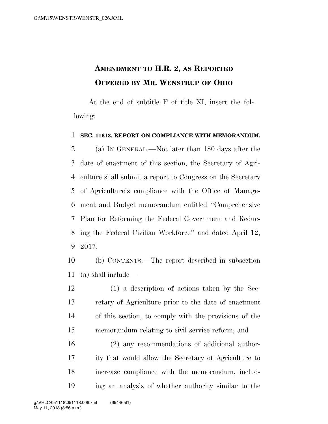## **AMENDMENT TO H.R. 2, AS REPORTED OFFERED BY MR. WENSTRUP OF OHIO**

At the end of subtitle F of title XI, insert the following:

## **SEC. 11613. REPORT ON COMPLIANCE WITH MEMORANDUM.**

 (a) IN GENERAL.—Not later than 180 days after the date of enactment of this section, the Secretary of Agri- culture shall submit a report to Congress on the Secretary of Agriculture's compliance with the Office of Manage- ment and Budget memorandum entitled ''Comprehensive Plan for Reforming the Federal Government and Reduc- ing the Federal Civilian Workforce'' and dated April 12, 2017.

 (b) CONTENTS.—The report described in subsection (a) shall include—

 (1) a description of actions taken by the Sec- retary of Agriculture prior to the date of enactment of this section, to comply with the provisions of the memorandum relating to civil service reform; and

 (2) any recommendations of additional author- ity that would allow the Secretary of Agriculture to increase compliance with the memorandum, includ-ing an analysis of whether authority similar to the